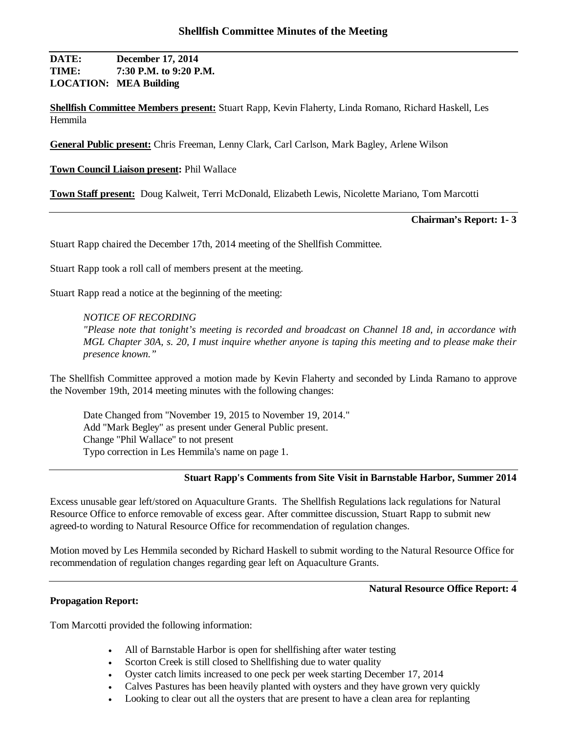**DATE: December 17, 2014 TIME: 7:30 P.M. to 9:20 P.M. LOCATION: MEA Building**

**Shellfish Committee Members present:** Stuart Rapp, Kevin Flaherty, Linda Romano, Richard Haskell, Les Hemmila

**General Public present:** Chris Freeman, Lenny Clark, Carl Carlson, Mark Bagley, Arlene Wilson

**Town Council Liaison present:** Phil Wallace

**Town Staff present:** Doug Kalweit, Terri McDonald, Elizabeth Lewis, Nicolette Mariano, Tom Marcotti

**Chairman's Report: 1- 3**

Stuart Rapp chaired the December 17th, 2014 meeting of the Shellfish Committee.

Stuart Rapp took a roll call of members present at the meeting.

Stuart Rapp read a notice at the beginning of the meeting:

# *NOTICE OF RECORDING*

*"Please note that tonight's meeting is recorded and broadcast on Channel 18 and, in accordance with MGL Chapter 30A, s. 20, I must inquire whether anyone is taping this meeting and to please make their presence known."*

The Shellfish Committee approved a motion made by Kevin Flaherty and seconded by Linda Ramano to approve the November 19th, 2014 meeting minutes with the following changes:

Date Changed from "November 19, 2015 to November 19, 2014." Add "Mark Begley" as present under General Public present. Change "Phil Wallace" to not present Typo correction in Les Hemmila's name on page 1.

#### **Stuart Rapp's Comments from Site Visit in Barnstable Harbor, Summer 2014**

Excess unusable gear left/stored on Aquaculture Grants. The Shellfish Regulations lack regulations for Natural Resource Office to enforce removable of excess gear. After committee discussion, Stuart Rapp to submit new agreed-to wording to Natural Resource Office for recommendation of regulation changes.

Motion moved by Les Hemmila seconded by Richard Haskell to submit wording to the Natural Resource Office for recommendation of regulation changes regarding gear left on Aquaculture Grants.

### **Natural Resource Office Report: 4**

### **Propagation Report:**

Tom Marcotti provided the following information:

- All of Barnstable Harbor is open for shellfishing after water testing
- Scorton Creek is still closed to Shellfishing due to water quality
- Oyster catch limits increased to one peck per week starting December 17, 2014
- Calves Pastures has been heavily planted with oysters and they have grown very quickly
- Looking to clear out all the oysters that are present to have a clean area for replanting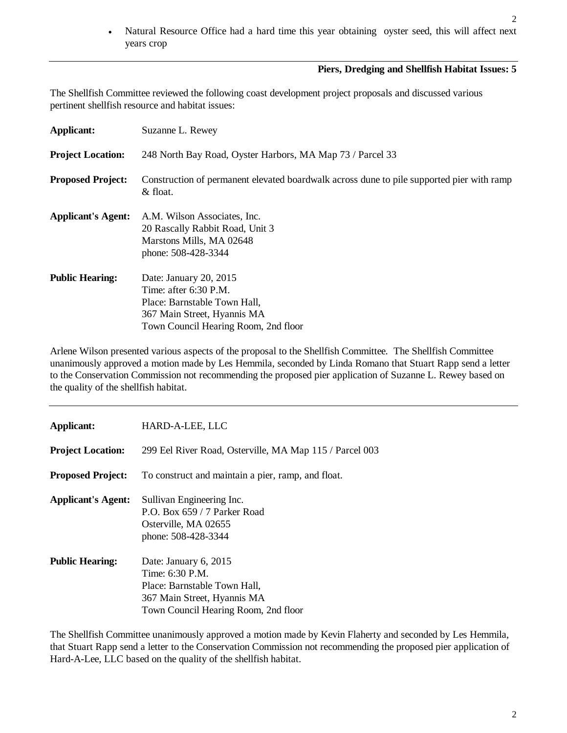Natural Resource Office had a hard time this year obtaining oyster seed, this will affect next years crop

## **Piers, Dredging and Shellfish Habitat Issues: 5**

The Shellfish Committee reviewed the following coast development project proposals and discussed various pertinent shellfish resource and habitat issues:

| Applicant:                | Suzanne L. Rewey                                                                                                                                         |  |  |
|---------------------------|----------------------------------------------------------------------------------------------------------------------------------------------------------|--|--|
| <b>Project Location:</b>  | 248 North Bay Road, Oyster Harbors, MA Map 73 / Parcel 33                                                                                                |  |  |
| <b>Proposed Project:</b>  | Construction of permanent elevated boardwalk across dune to pile supported pier with ramp<br>& float.                                                    |  |  |
| <b>Applicant's Agent:</b> | A.M. Wilson Associates, Inc.<br>20 Rascally Rabbit Road, Unit 3<br>Marstons Mills, MA 02648<br>phone: 508-428-3344                                       |  |  |
| <b>Public Hearing:</b>    | Date: January 20, 2015<br>Time: after $6:30$ P.M.<br>Place: Barnstable Town Hall,<br>367 Main Street, Hyannis MA<br>Town Council Hearing Room, 2nd floor |  |  |

Arlene Wilson presented various aspects of the proposal to the Shellfish Committee. The Shellfish Committee unanimously approved a motion made by Les Hemmila, seconded by Linda Romano that Stuart Rapp send a letter to the Conservation Commission not recommending the proposed pier application of Suzanne L. Rewey based on the quality of the shellfish habitat.

| Applicant:                | HARD-A-LEE, LLC                                                                                                                                 |  |
|---------------------------|-------------------------------------------------------------------------------------------------------------------------------------------------|--|
| <b>Project Location:</b>  | 299 Eel River Road, Osterville, MA Map 115 / Parcel 003                                                                                         |  |
| <b>Proposed Project:</b>  | To construct and maintain a pier, ramp, and float.                                                                                              |  |
| <b>Applicant's Agent:</b> | Sullivan Engineering Inc.<br>P.O. Box 659 / 7 Parker Road<br>Osterville, MA 02655<br>phone: 508-428-3344                                        |  |
| <b>Public Hearing:</b>    | Date: January 6, 2015<br>Time: 6:30 P.M.<br>Place: Barnstable Town Hall,<br>367 Main Street, Hyannis MA<br>Town Council Hearing Room, 2nd floor |  |

The Shellfish Committee unanimously approved a motion made by Kevin Flaherty and seconded by Les Hemmila, that Stuart Rapp send a letter to the Conservation Commission not recommending the proposed pier application of Hard-A-Lee, LLC based on the quality of the shellfish habitat.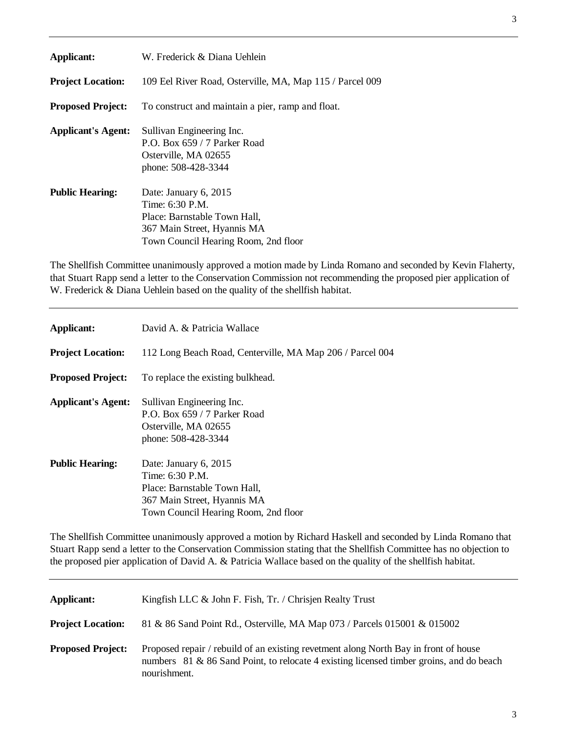| Applicant:                | W. Frederick & Diana Uehlein                                                                                                                    |  |
|---------------------------|-------------------------------------------------------------------------------------------------------------------------------------------------|--|
| <b>Project Location:</b>  | 109 Eel River Road, Osterville, MA, Map 115 / Parcel 009                                                                                        |  |
| <b>Proposed Project:</b>  | To construct and maintain a pier, ramp and float.                                                                                               |  |
| <b>Applicant's Agent:</b> | Sullivan Engineering Inc.<br>P.O. Box $659/7$ Parker Road<br>Osterville, MA 02655<br>phone: 508-428-3344                                        |  |
| Public Hearing:           | Date: January 6, 2015<br>Time: 6:30 P.M.<br>Place: Barnstable Town Hall,<br>367 Main Street, Hyannis MA<br>Town Council Hearing Room, 2nd floor |  |

The Shellfish Committee unanimously approved a motion made by Linda Romano and seconded by Kevin Flaherty, that Stuart Rapp send a letter to the Conservation Commission not recommending the proposed pier application of W. Frederick & Diana Uehlein based on the quality of the shellfish habitat.

| Applicant:                | David A. & Patricia Wallace                                                                                                                     |  |
|---------------------------|-------------------------------------------------------------------------------------------------------------------------------------------------|--|
| <b>Project Location:</b>  | 112 Long Beach Road, Centerville, MA Map 206 / Parcel 004                                                                                       |  |
| <b>Proposed Project:</b>  | To replace the existing bulkhead.                                                                                                               |  |
| <b>Applicant's Agent:</b> | Sullivan Engineering Inc.<br>P.O. Box $659/7$ Parker Road<br>Osterville, MA 02655<br>phone: 508-428-3344                                        |  |
| <b>Public Hearing:</b>    | Date: January 6, 2015<br>Time: 6:30 P.M.<br>Place: Barnstable Town Hall,<br>367 Main Street, Hyannis MA<br>Town Council Hearing Room, 2nd floor |  |

The Shellfish Committee unanimously approved a motion by Richard Haskell and seconded by Linda Romano that Stuart Rapp send a letter to the Conservation Commission stating that the Shellfish Committee has no objection to the proposed pier application of David A. & Patricia Wallace based on the quality of the shellfish habitat.

| Applicant:               | Kingfish LLC & John F. Fish, Tr. / Chrisjen Realty Trust                                                                                                                                        |
|--------------------------|-------------------------------------------------------------------------------------------------------------------------------------------------------------------------------------------------|
| <b>Project Location:</b> | 81 & 86 Sand Point Rd., Osterville, MA Map 073 / Parcels 015001 & 015002                                                                                                                        |
| <b>Proposed Project:</b> | Proposed repair / rebuild of an existing revetment along North Bay in front of house<br>numbers 81 & 86 Sand Point, to relocate 4 existing licensed timber groins, and do beach<br>nourishment. |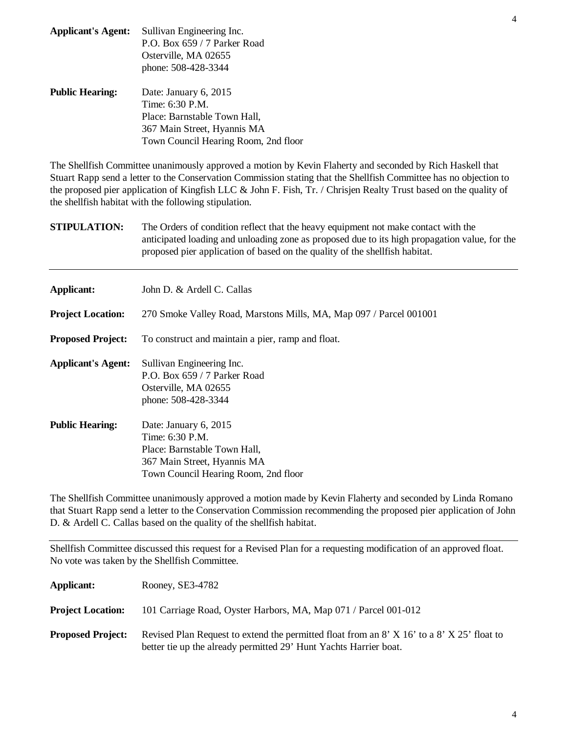| <b>Applicant's Agent:</b> | Sullivan Engineering Inc.            |
|---------------------------|--------------------------------------|
|                           | P.O. Box 659 / 7 Parker Road         |
|                           | Osterville, MA 02655                 |
|                           | phone: 508-428-3344                  |
| <b>Public Hearing:</b>    | Date: January 6, 2015                |
|                           | Time: 6:30 P.M.                      |
|                           | Place: Barnstable Town Hall,         |
|                           | 367 Main Street, Hyannis MA          |
|                           | Town Council Hearing Room, 2nd floor |

The Shellfish Committee unanimously approved a motion by Kevin Flaherty and seconded by Rich Haskell that Stuart Rapp send a letter to the Conservation Commission stating that the Shellfish Committee has no objection to the proposed pier application of Kingfish LLC & John F. Fish, Tr. / Chrisjen Realty Trust based on the quality of the shellfish habitat with the following stipulation.

**STIPULATION:** The Orders of condition reflect that the heavy equipment not make contact with the anticipated loading and unloading zone as proposed due to its high propagation value, for the proposed pier application of based on the quality of the shellfish habitat.

| Applicant:                | John D. & Ardell C. Callas                                                                                                                      |  |
|---------------------------|-------------------------------------------------------------------------------------------------------------------------------------------------|--|
| <b>Project Location:</b>  | 270 Smoke Valley Road, Marstons Mills, MA, Map 097 / Parcel 001001                                                                              |  |
| <b>Proposed Project:</b>  | To construct and maintain a pier, ramp and float.                                                                                               |  |
| <b>Applicant's Agent:</b> | Sullivan Engineering Inc.<br>P.O. Box 659 / 7 Parker Road<br>Osterville, MA 02655<br>phone: 508-428-3344                                        |  |
| <b>Public Hearing:</b>    | Date: January 6, 2015<br>Time: 6:30 P.M.<br>Place: Barnstable Town Hall,<br>367 Main Street, Hyannis MA<br>Town Council Hearing Room, 2nd floor |  |

The Shellfish Committee unanimously approved a motion made by Kevin Flaherty and seconded by Linda Romano that Stuart Rapp send a letter to the Conservation Commission recommending the proposed pier application of John D. & Ardell C. Callas based on the quality of the shellfish habitat.

Shellfish Committee discussed this request for a Revised Plan for a requesting modification of an approved float. No vote was taken by the Shellfish Committee.

| <b>Applicant:</b>        | Rooney, SE3-4782                                                                                                                                                |
|--------------------------|-----------------------------------------------------------------------------------------------------------------------------------------------------------------|
| <b>Project Location:</b> | 101 Carriage Road, Oyster Harbors, MA, Map 071 / Parcel 001-012                                                                                                 |
| <b>Proposed Project:</b> | Revised Plan Request to extend the permitted float from an 8' X 16' to a 8' X 25' float to<br>better tie up the already permitted 29' Hunt Yachts Harrier boat. |